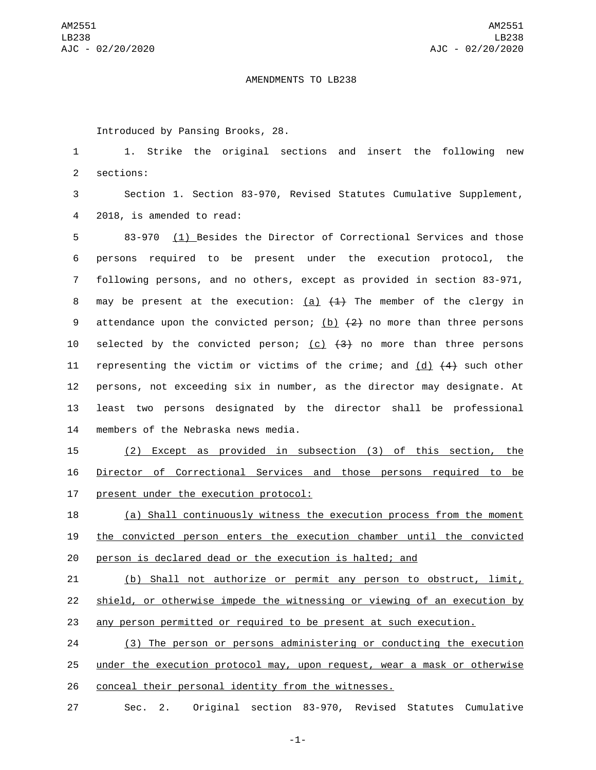## AMENDMENTS TO LB238

Introduced by Pansing Brooks, 28.

1 1. Strike the original sections and insert the following new 2 sections:

3 Section 1. Section 83-970, Revised Statutes Cumulative Supplement, 2018, is amended to read:4

5 83-970 (1) Besides the Director of Correctional Services and those 6 persons required to be present under the execution protocol, the 7 following persons, and no others, except as provided in section 83-971, 8 may be present at the execution:  $(a)$   $(1)$  The member of the clergy in 9 attendance upon the convicted person; (b)  $(2)$  no more than three persons 10 selected by the convicted person; (c)  $(3)$  no more than three persons 11 representing the victim or victims of the crime; and (d)  $\{4\}$  such other 12 persons, not exceeding six in number, as the director may designate. At 13 least two persons designated by the director shall be professional 14 members of the Nebraska news media.

15 (2) Except as provided in subsection (3) of this section, the 16 Director of Correctional Services and those persons required to be 17 present under the execution protocol:

18 (a) Shall continuously witness the execution process from the moment 19 the convicted person enters the execution chamber until the convicted 20 person is declared dead or the execution is halted; and

21 (b) Shall not authorize or permit any person to obstruct, limit, 22 shield, or otherwise impede the witnessing or viewing of an execution by 23 any person permitted or required to be present at such execution.

24 (3) The person or persons administering or conducting the execution 25 under the execution protocol may, upon request, wear a mask or otherwise 26 conceal their personal identity from the witnesses.

27 Sec. 2. Original section 83-970, Revised Statutes Cumulative

-1-